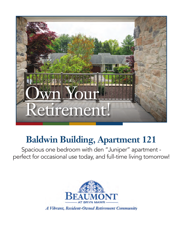

## **Baldwin Building, Apartment 121**

Spacious one bedroom with den "Juniper" apartment perfect for occasional use today, and full-time living tomorrow!

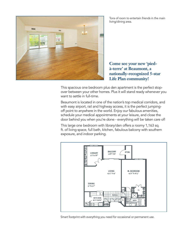

Tons of room to entertain friends in the main living/dining area.

**Come see your new 'piedà-terre' at Beaumont, a nationally-recognized 5-star Life Plan community!**

This spacious one bedroom plus den apartment is the perfect stopover between your other homes. Plus it will stand ready whenever you want to settle in full-time.

Beaumont is located in one of the nation's top medical corridors, and with easy airport, rail and highway access, it is the perfect jumpingoff point to anywhere in the world. Enjoy our fabulous amenities, schedule your medical appointments at your leisure, and close the door behind you when you're done - everything will be taken care of!

This large one bedroom with library/den offers a roomy 1,163 sq. ft. of living space, full bath, kitchen, fabulous balcony with southern exposure, and indoor parking.



Smart footprint with everything you need for occasional or permanent use.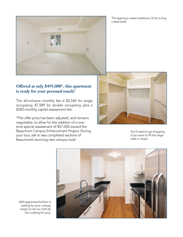

The spacious master bedroom, fit for a king (-sized bed).

## **Offered at only \$495,000\*, this apartment is ready for your personal touch!**

The all-inclusive monthly fee is \$5,540 for single occupancy, \$7,589 for double occupancy, plus a \$350 monthly capital assessment fee.

\*The offer price has been adjusted, and remains negotiable, to allow for the addition of a onetime special assessment of \$57,050 toward the Beaumont Campus Enhancement Project. During your tour, ask to see completed sections of Beaumont's stunning new campus look!



You'll need to go shopping if you want to fill this large walk-in closet.



Well-appointed kitchen is waiting for your culinary magic (or let our chef do the cooking for you).